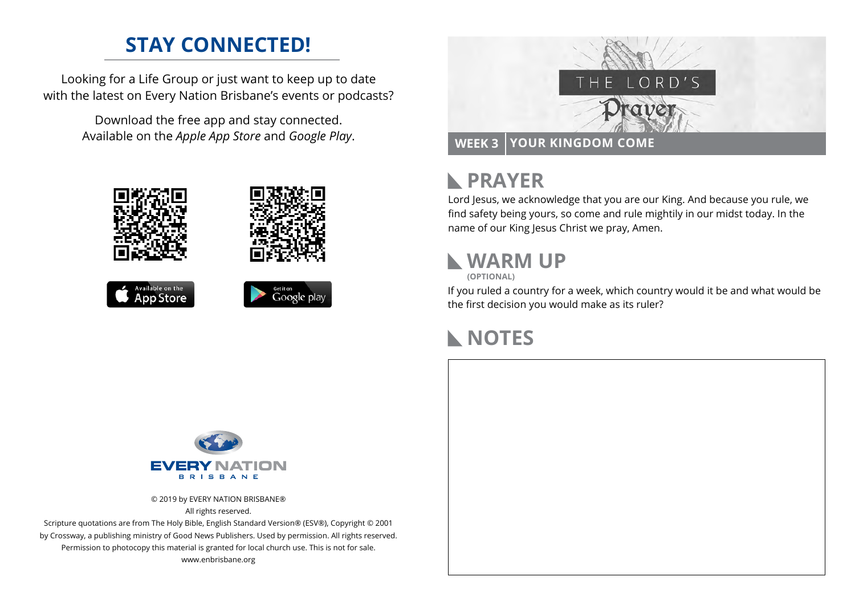## **STAY CONNECTED!**

Looking for a Life Group or just want to keep up to date with the latest on Every Nation Brisbane's events or podcasts?

> Download the free app and stay connected. Available on the *Apple App Store* and *Google Play*.





#### **PRAYER**  $\mathbf{L}$

Lord Jesus, we acknowledge that you are our King. And because you rule, we find safety being yours, so come and rule mightily in our midst today. In the name of our King Jesus Christ we pray, Amen.

## **WARM UP**

**(OPTIONAL)**

If you ruled a country for a week, which country would it be and what would be the first decision you would make as its ruler?

## **NOTES**



© 2019 by EVERY NATION BRISBANE® All rights reserved.

Scripture quotations are from The Holy Bible, English Standard Version® (ESV®), Copyright © 2001 by Crossway, a publishing ministry of Good News Publishers. Used by permission. All rights reserved. Permission to photocopy this material is granted for local church use. This is not for sale. www.enbrisbane.org